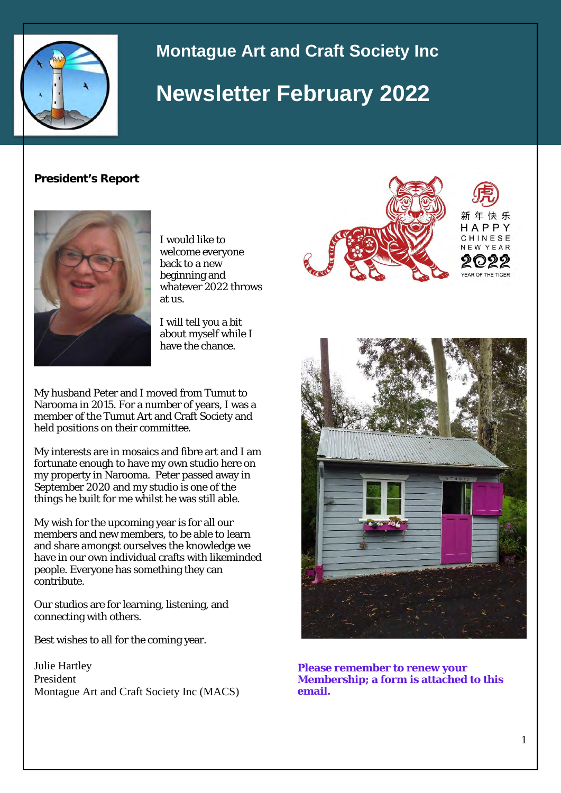

## **Montague Art and Craft Society Inc**

# **Newsletter February 2022**

#### **President's Report**



I would like to welcome everyone back to a new beginning and whatever 2022 throws at us.

I will tell you a bit about myself while I have the chance.

My husband Peter and I moved from Tumut to Narooma in 2015. For a number of years, I was a member of the Tumut Art and Craft Society and held positions on their committee.

My interests are in mosaics and fibre art and I am fortunate enough to have my own studio here on my property in Narooma. Peter passed away in September 2020 and my studio is one of the things he built for me whilst he was still able.

My wish for the upcoming year is for all our members and new members, to be able to learn and share amongst ourselves the knowledge we have in our own individual crafts with likeminded people. Everyone has something they can contribute.

Our studios are for learning, listening, and connecting with others.

Best wishes to all for the coming year.

Julie Hartley President Montague Art and Craft Society Inc (MACS)





**Please remember to renew your Membership; a form is attached to this email.**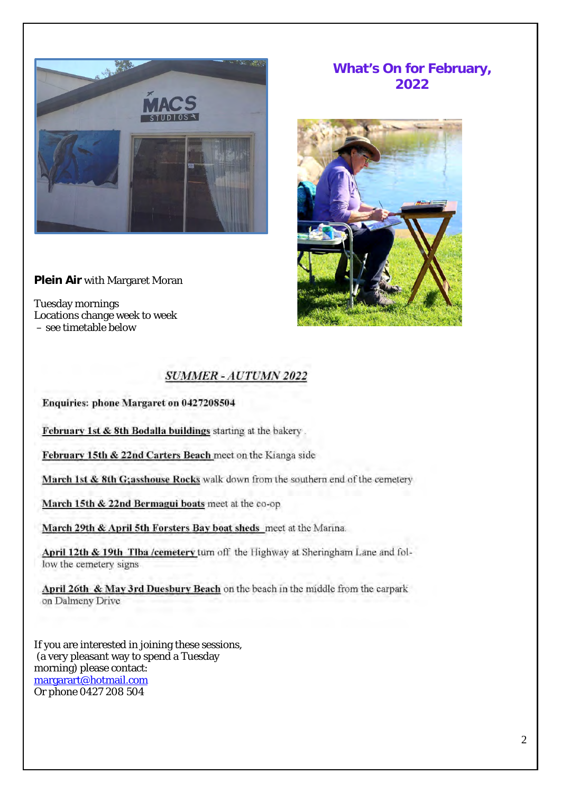

**Plein Air** with Margaret Moran

Tuesday mornings Locations change week to week – see timetable below

## **What's On for February, 2022**



## **SUMMER - AUTUMN 2022**

Enquiries: phone Margaret on 0427208504

February 1st & 8th Bodalla buildings starting at the bakery.

February 15th & 22nd Carters Beach meet on the Kianga side

March 1st & 8th G;asshouse Rocks walk down from the southern end of the cemetery

March 15th & 22nd Bermagui boats meet at the co-op

March 29th & April 5th Forsters Bay boat sheds meet at the Marina.

April 12th & 19th Tlba /cemetery turn off the Highway at Sheringham Lane and follow the cemetery signs.

April 26th & May 3rd Duesbury Beach on the beach in the middle from the carpark on Dalmeny Drive

If you are interested in joining these sessions, (a very pleasant way to spend a Tuesday morning) please contact: [margarart@hotmail.com](mailto:margarart@hotmail.com) Or phone 0427 208 504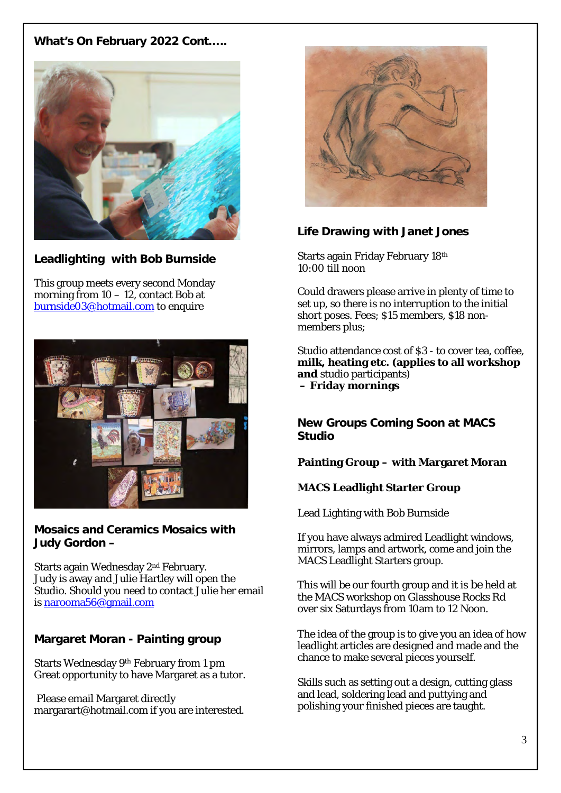## **What's On February 2022 Cont…..**



## **Leadlighting with Bob Burnside**

This group meets every second Monday morning from  $10 - 12$ , contact Bob at [burnside03@hotmail.com](mailto:burnside03@hotmail.com) to enquire



**Mosaics and Ceramics Mosaics with Judy Gordon –** 

Starts again Wednesday 2nd February. Judy is away and Julie Hartley will open the Studio. Should you need to contact Julie her email is [narooma56@gmail.com](mailto:narooma56@gmail.com)

## **Margaret Moran - Painting group**

Starts Wednesday 9th February from 1 pm Great opportunity to have Margaret as a tutor.

Please email Margaret directly margarart@hotmail.com if you are interested.



## **Life Drawing with Janet Jones**

Starts again Friday February 18th 10:00 till noon

Could drawers please arrive in plenty of time to set up, so there is no interruption to the initial short poses. Fees; \$15 members, \$18 nonmembers plus:

Studio attendance cost of \$3 - to cover tea, coffee, **milk, heating etc. (applies to all workshop and** studio participants)  **– Friday mornings**

**New Groups Coming Soon at MACS Studio**

### **Painting Group – with Margaret Moran**

### **MACS Leadlight Starter Group**

Lead Lighting with Bob Burnside

If you have always admired Leadlight windows, mirrors, lamps and artwork, come and join the MACS Leadlight Starters group.

This will be our fourth group and it is be held at the MACS workshop on Glasshouse Rocks Rd over six Saturdays from 10am to 12 Noon.

The idea of the group is to give you an idea of how leadlight articles are designed and made and the chance to make several pieces yourself.

Skills such as setting out a design, cutting glass and lead, soldering lead and puttying and polishing your finished pieces are taught.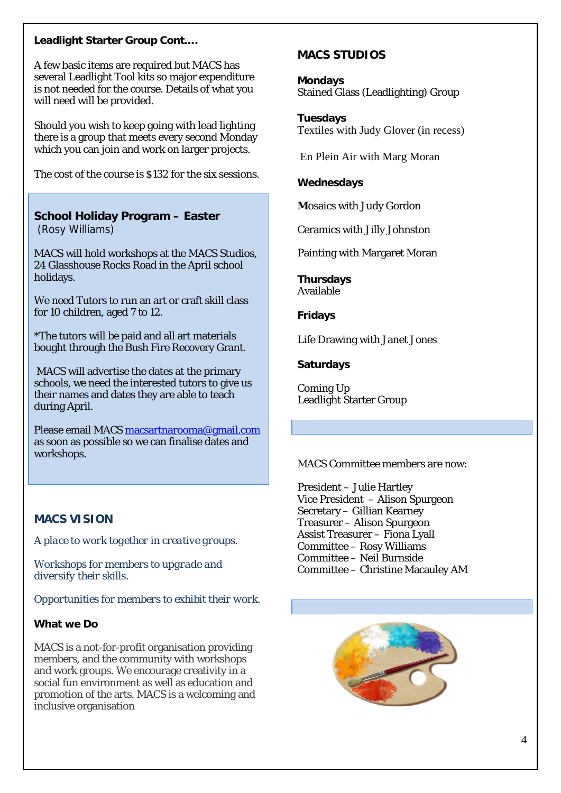#### **Leadlight Starter Group Cont….**

A few basic items are required but MACS has several Leadlight Tool kits so major expenditure is not needed for the course. Details of what you will need will be provided.

Should you wish to keep going with lead lighting there is a group that meets every second Monday which you can join and work on larger projects.

The cost of the course is \$132 for the six sessions.

## **School Holiday Program – Easter**

(Rosy Williams)

MACS will hold workshops at the MACS Studios, 24 Glasshouse Rocks Road in the April school holidays.

We need Tutors to run an art or craft skill class for 10 children, aged 7 to 12.

\*The tutors will be paid and all art materials bought through the Bush Fire Recovery Grant.

MACS will advertise the dates at the primary schools, we need the interested tutors to give us their names and dates they are able to teach during April.

Please email MACS [macsartnarooma@gmail.com](mailto:macsartnarooma@gmail.com) as soon as possible so we can finalise dates and workshops.

## **MACS STUDIOS**

**Mondays**  Stained Glass (Leadlighting) Group

**Tuesdays** Textiles with Judy Glover (in recess)

En Plein Air with Marg Moran

**Wednesdays**

**M**osaics with Judy Gordon

Ceramics with Jilly Johnston

Painting with Margaret Moran

**Thursdays** Available

**Fridays**

Life Drawing with Janet Jones

**Saturdays**

Coming Up Leadlight Starter Group

MACS Committee members are now:

President – Julie Hartley Vice President – Alison Spurgeon Secretary – Gillian Kearney Treasurer – Alison Spurgeon Assist Treasurer – Fiona Lyall Committee – Rosy Williams Committee – Neil Burnside Committee – Christine Macauley AM



## **MACS VISION**

*A place to work together in creative groups.*

*Workshops for members to upgrade and diversify their skills.*

*Opportunities for members to exhibit their work.* 

#### **What we Do**

MACS is a not-for-profit organisation providing members, and the community with workshops and work groups. We encourage creativity in a social fun environment as well as education and promotion of the arts. MACS is a welcoming and inclusive organisation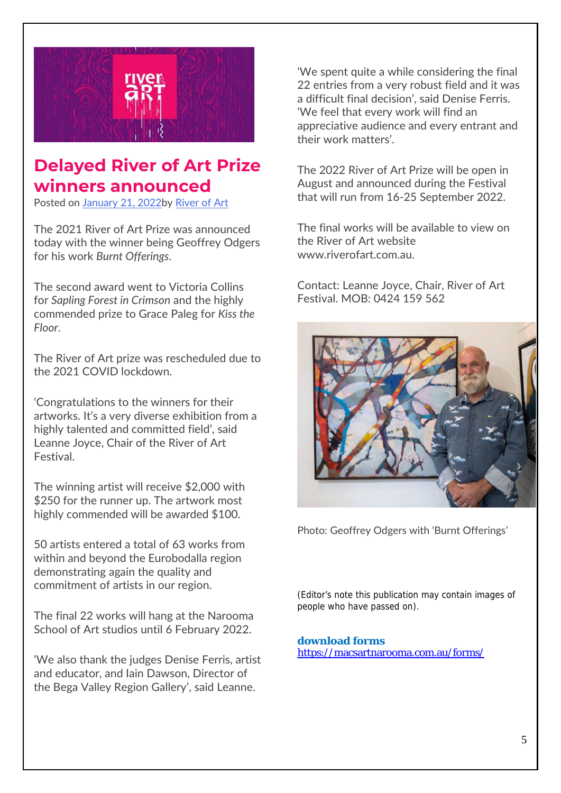

## **Delayed River of Art Prize winners announced**

Posted on [January 21, 2022b](https://www.riverofart.com.au/delayed-river-of-art-prize-winners-announced/)y [River of Art](https://www.riverofart.com.au/author/arthead/)

The 2021 River of Art Prize was announced today with the winner being Geoffrey Odgers for his work *Burnt Offerings*.

The second award went to Victoria Collins for *Sapling Forest in Crimson* and the highly commended prize to Grace Paleg for *Kiss the Floor*.

The River of Art prize was rescheduled due to the 2021 COVID lockdown.

'Congratulations to the winners for their artworks. It's a very diverse exhibition from a highly talented and committed field', said Leanne Joyce, Chair of the River of Art Festival.

The winning artist will receive \$2,000 with \$250 for the runner up. The artwork most highly commended will be awarded \$100.

50 artists entered a total of 63 works from within and beyond the Eurobodalla region demonstrating again the quality and commitment of artists in our region.

The final 22 works will hang at the Narooma School of Art studios until 6 February 2022.

'We also thank the judges Denise Ferris, artist and educator, and Iain Dawson, Director of the Bega Valley Region Gallery', said Leanne.

'We spent quite a while considering the final 22 entries from a very robust field and it was a difficult final decision', said Denise Ferris. 'We feel that every work will find an appreciative audience and every entrant and their work matters'.

The 2022 River of Art Prize will be open in August and announced during the Festival that will run from 16-25 September 2022.

The final works will be available to view on the River of Art website www.riverofart.com.au.

Contact: Leanne Joyce, Chair, River of Art Festival. MOB: 0424 159 562



Photo: Geoffrey Odgers with 'Burnt Offerings'

(Editor's note this publication may contain images of people who have passed on).

## **download forms**

<https://macsartnarooma.com.au/forms/>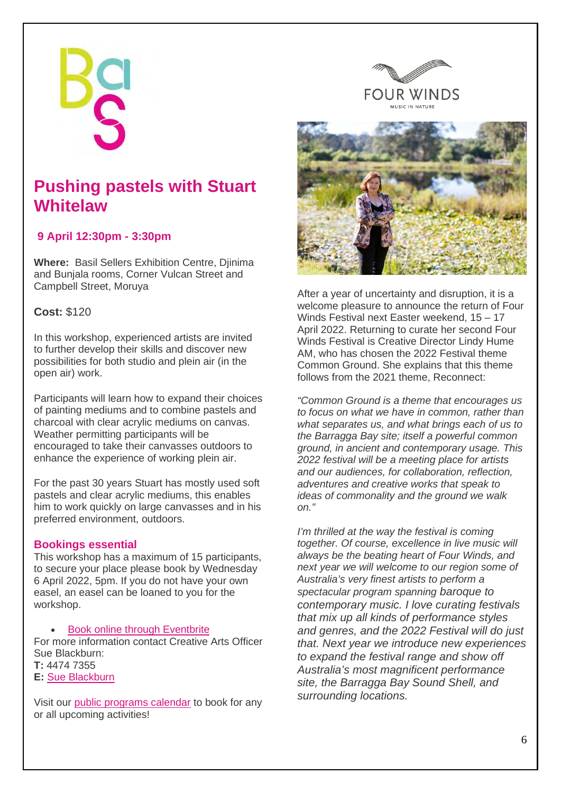## **Pushing pastels with Stuart Whitelaw**

## **9 April 12:30pm - 3:30pm**

**Where:** Basil Sellers Exhibition Centre, Djinima and Bunjala rooms, Corner Vulcan Street and Campbell Street, Moruya

## **Cost:** \$120

In this workshop, experienced artists are invited to further develop their skills and discover new possibilities for both studio and plein air (in the open air) work.

Participants will learn how to expand their choices of painting mediums and to combine pastels and charcoal with clear acrylic mediums on canvas. Weather permitting participants will be encouraged to take their canvasses outdoors to enhance the experience of working plein air.

For the past 30 years Stuart has mostly used soft pastels and clear acrylic mediums, this enables him to work quickly on large canvasses and in his preferred environment, outdoors.

### **Bookings essential**

This workshop has a maximum of 15 participants, to secure your place please book by Wednesday 6 April 2022, 5pm. If you do not have your own easel, an easel can be loaned to you for the workshop.

**[Book online through Eventbrite](https://www.eventbrite.com.au/e/pushing-pastels-with-stuart-whitelaw-tickets-161186594443?aff=ebdssbdestsearch&keep_tld=1)** 

For more information contact Creative Arts Officer Sue Blackburn: **T:** 4474 7355

**E:** [Sue Blackburn](mailto:sue.blackburn@esc.nsw.gov.au?subject=Pastel%20workshop%209%20April%202022)

Visit our public [programs](https://thebas.com.au/public-programs) calendar to book for any or all upcoming activities!





After a year of uncertainty and disruption, it is a welcome pleasure to announce the return of Four Winds Festival next Easter weekend, 15 – 17 April 2022. Returning to curate her second Four Winds Festival is Creative Director Lindy Hume AM, who has chosen the 2022 Festival theme Common Ground. She explains that this theme follows from the 2021 theme, Reconnect:

*"Common Ground is a theme that encourages us to focus on what we have in common, rather than what separates us, and what brings each of us to the Barragga Bay site; itself a powerful common ground, in ancient and contemporary usage. This 2022 festival will be a meeting place for artists and our audiences, for collaboration, reflection, adventures and creative works that speak to ideas of commonality and the ground we walk on."* 

*I'm thrilled at the way the festival is coming together. Of course, excellence in live music will always be the beating heart of Four Winds, and next year we will welcome to our region some of Australia's very finest artists to perform a spectacular program spanning baroque to contemporary music. I love curating festivals that mix up all kinds of performance styles and genres, and the 2022 Festival will do just that. Next year we introduce new experiences to expand the festival range and show off Australia's most magnificent performance site, the Barragga Bay Sound Shell, and surrounding locations.*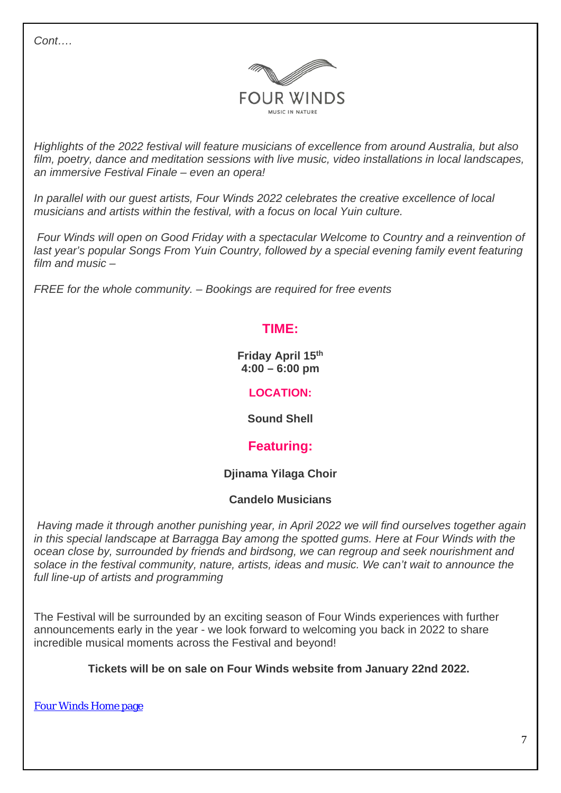*Cont….* 



*Highlights of the 2022 festival will feature musicians of excellence from around Australia, but also film, poetry, dance and meditation sessions with live music, video installations in local landscapes, an immersive Festival Finale – even an opera!* 

*In parallel with our guest artists, Four Winds 2022 celebrates the creative excellence of local musicians and artists within the festival, with a focus on local Yuin culture.*

*Four Winds will open on Good Friday with a spectacular Welcome to Country and a reinvention of*  last year's popular Songs From Yuin Country, followed by a special evening family event featuring *film and music –* 

*FREE for the whole community. – Bookings are required for free events*

## **TIME:**

**Friday April 15th 4:00 – 6:00 pm**

## **LOCATION:**

**Sound Shell**

## **Featuring:**

## **Djinama Yilaga Choir**

## **Candelo Musicians**

*Having made it through another punishing year, in April 2022 we will find ourselves together again in this special landscape at Barragga Bay among the spotted gums. Here at Four Winds with the ocean close by, surrounded by friends and birdsong, we can regroup and seek nourishment and solace in the festival community, nature, artists, ideas and music. We can't wait to announce the full line-up of artists and programming*

The Festival will be surrounded by an exciting season of Four Winds experiences with further announcements early in the year - we look forward to welcoming you back in 2022 to share incredible musical moments across the Festival and beyond!

**Tickets will be on sale on Four Winds website from January 22nd 2022.** 

[Four Winds Home page](https://click.icptrack.com/icp/relay.php?r=62352999&msgid=308780&act=3KIW&c=1783399&destination=https%3A%2F%2Ffourwinds.com.au%2F&cf=15860&v=037c44200296eeb5f06a4997c8eaff2fdf75e6101ba0790f7f672216be67aad8)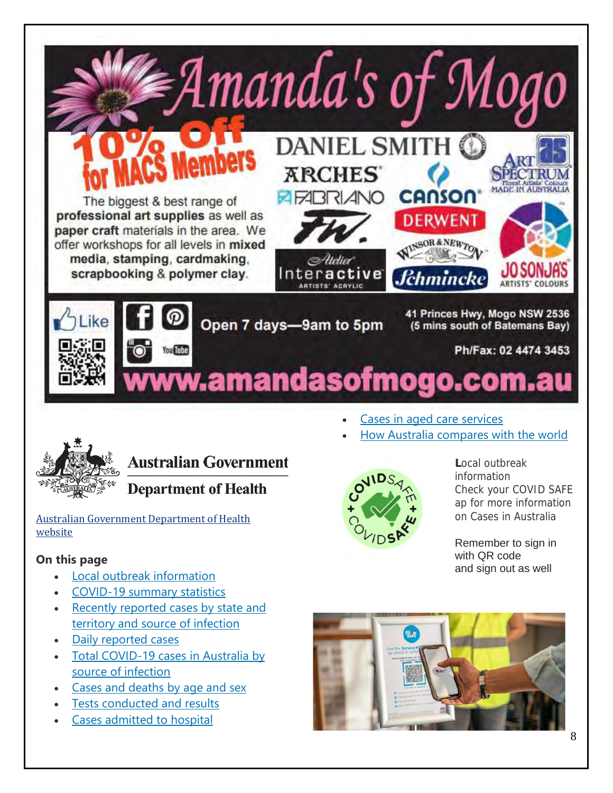



## **Australian Government**

## **Department of Health**

Australian [Government](https://www.health.gov.au/initiatives-and-programs/covid-19-vaccines?fbclid=IwAR3u390eTun226XfFajtYPrrqjPoWD2fOFPnITLssPJYlpt492Y94xG4sFs) Department of Health [website](https://www.health.gov.au/initiatives-and-programs/covid-19-vaccines?fbclid=IwAR3u390eTun226XfFajtYPrrqjPoWD2fOFPnITLssPJYlpt492Y94xG4sFs)

## **On this page**

- [Local outbreak information](https://www.health.gov.au/news/health-alerts/novel-coronavirus-2019-ncov-health-alert/coronavirus-covid-19-current-situation-and-case-numbers#local-outbreak-information)
- [COVID-19 summary statistics](https://www.health.gov.au/news/health-alerts/novel-coronavirus-2019-ncov-health-alert/coronavirus-covid-19-current-situation-and-case-numbers#covid19-summary-statistics)
- [Recently reported cases by state and](https://www.health.gov.au/news/health-alerts/novel-coronavirus-2019-ncov-health-alert/coronavirus-covid-19-current-situation-and-case-numbers#recently-reported-cases-by-state-and-territory-and-source-of-infection)  [territory and source of infection](https://www.health.gov.au/news/health-alerts/novel-coronavirus-2019-ncov-health-alert/coronavirus-covid-19-current-situation-and-case-numbers#recently-reported-cases-by-state-and-territory-and-source-of-infection)
- [Daily reported cases](https://www.health.gov.au/news/health-alerts/novel-coronavirus-2019-ncov-health-alert/coronavirus-covid-19-current-situation-and-case-numbers#daily-reported-cases)
- [Total COVID-19 cases in Australia by](https://www.health.gov.au/news/health-alerts/novel-coronavirus-2019-ncov-health-alert/coronavirus-covid-19-current-situation-and-case-numbers#total-covid19-cases-in-australia-by-source-of-infection)  [source of infection](https://www.health.gov.au/news/health-alerts/novel-coronavirus-2019-ncov-health-alert/coronavirus-covid-19-current-situation-and-case-numbers#total-covid19-cases-in-australia-by-source-of-infection)
- [Cases and deaths by age and sex](https://www.health.gov.au/news/health-alerts/novel-coronavirus-2019-ncov-health-alert/coronavirus-covid-19-current-situation-and-case-numbers#cases-and-deaths-by-age-and-sex)
- [Tests conducted and results](https://www.health.gov.au/news/health-alerts/novel-coronavirus-2019-ncov-health-alert/coronavirus-covid-19-current-situation-and-case-numbers#tests-conducted-and-results)
- [Cases admitted to hospital](https://www.health.gov.au/news/health-alerts/novel-coronavirus-2019-ncov-health-alert/coronavirus-covid-19-current-situation-and-case-numbers#cases-admitted-to-hospital)



**L**ocal outbreak information Check your COVID SAFE ap for more information on Cases in Australia

Remember to sign in with QR code and sign out as well